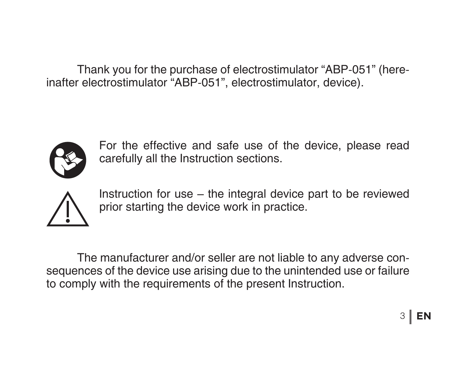Thank you for the purchase of electrostimulator "АВР-051" (hereinafter electrostimulator "АВР-051", electrostimulator, device).



For the effective and safe use of the device, please read carefully all the Instruction sections.



Instruction for use – the integral device part to be reviewed prior starting the device work in practice.

 The manufacturer and/or seller are not liable to any adverse consequences of the device use arising due to the unintended use or failure to comply with the requirements of the present Instruction.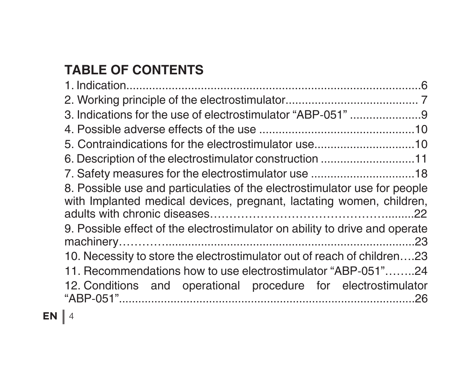# **TABLE OF CONTENTS**

| 5. Contraindications for the electrostimulator use10                                                                                              |  |
|---------------------------------------------------------------------------------------------------------------------------------------------------|--|
| 6. Description of the electrostimulator construction 11                                                                                           |  |
|                                                                                                                                                   |  |
| 8. Possible use and particulaties of the electrostimulator use for people<br>with Implanted medical devices, pregnant, lactating women, children, |  |
| 9. Possible effect of the electrostimulator on ability to drive and operate                                                                       |  |
| 10. Necessity to store the electrostimulator out of reach of children23                                                                           |  |
| 11. Recommendations how to use electrostimulator "ABP-051"24                                                                                      |  |
| 12. Conditions and operational procedure for electrostimulator                                                                                    |  |
|                                                                                                                                                   |  |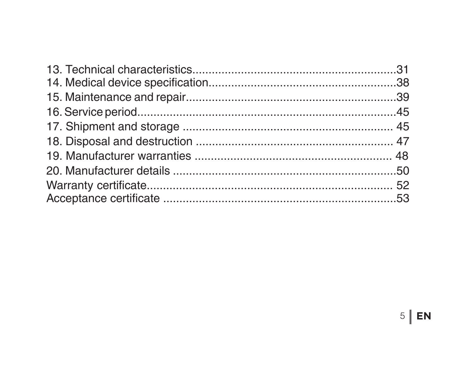EN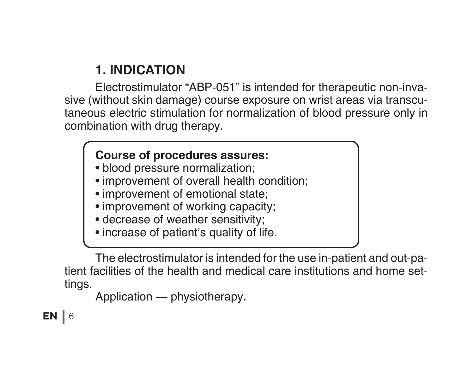# **1. INDICATION**

Electrostimulator "ABP-051" is intended for therapeutic non-invasive (without skin damage) course exposure on wrist areas via transcutaneous electric stimulation for normalization of blood pressure only in combination with drug therapy.

#### **Course of procedures assures:**

- blood pressure normalization;
- improvement of overall health condition;
- improvement of emotional state;
- improvement of working capacity;
- decrease of weather sensitivity;
- increase of patient's quality of life.

 The electrostimulator is intended for the use in-patient and out-patient facilities of the health and medical care institutions and home settings.

```
	 Application — physiotherapy.
```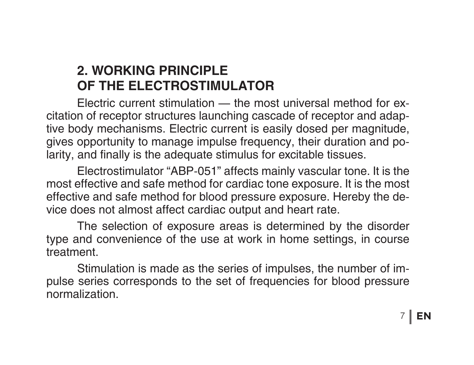# **2. WORKING PRINCIPLE OF THE ELECTROSTIMULATOR**

Electric current stimulation — the most universal method for excitation of receptor structures launching cascade of receptor and adaptive body mechanisms. Electric current is easily dosed per magnitude, gives opportunity to manage impulse frequency, their duration and polarity, and finally is the adequate stimulus for excitable tissues.

 Electrostimulator "ABP-051" affects mainly vascular tone. It is the most effective and safe method for cardiac tone exposure. It is the most effective and safe method for blood pressure exposure. Hereby the device does not almost affect cardiac output and heart rate.

 The selection of exposure areas is determined by the disorder type and convenience of the use at work in home settings, in course treatment.

 Stimulation is made as the series of impulses, the number of impulse series corresponds to the set of frequencies for blood pressure normalization.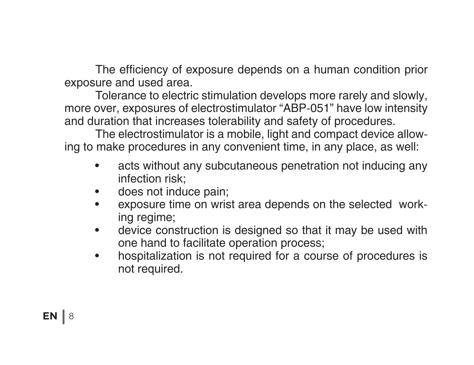The efficiency of exposure depends on a human condition prior exposure and used area.

 Tolerance to electric stimulation develops more rarely and slowly, more over, exposures of electrostimulator "ABP-051" have low intensity and duration that increases tolerability and safety of procedures.

 The electrostimulator is a mobile, light and compact device allowing to make procedures in any convenient time, in any place, as well:

- acts without any subcutaneous penetration not inducing any infection risk;
- does not induce pain:
- exposure time on wrist area depends on the selected working regime;
- device construction is designed so that it may be used with one hand to facilitate operation process;
- hospitalization is not required for a course of procedures is not required.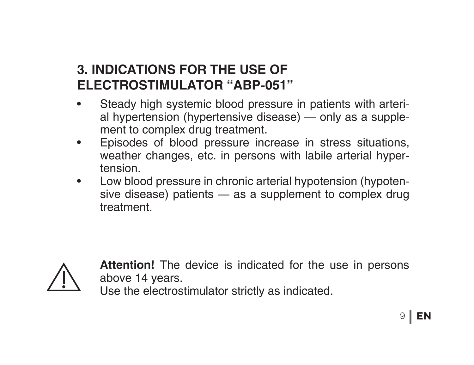# **3. INDICATIONS FOR THE USE OF ELECTROSTIMULATOR "ABP-051"**

- Steady high systemic blood pressure in patients with arterial hypertension (hypertensive disease) — only as a supplement to complex drug treatment.
- • Episodes of blood pressure increase in stress situations, weather changes, etc. in persons with labile arterial hypertension.
- Low blood pressure in chronic arterial hypotension (hypotensive disease) patients — as a supplement to complex drug treatment.



**Attention!** The device is indicated for the use in persons above 14 years.

Use the electrostimulator strictly as indicated.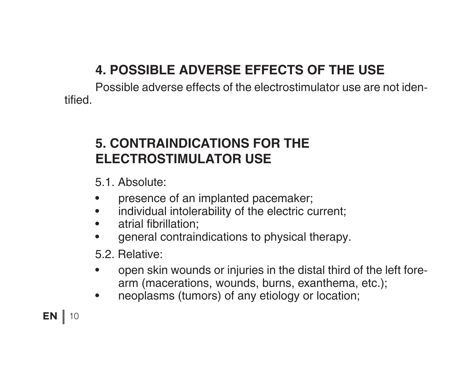# **4. POSSIBLE ADVERSE EFFECTS OF THE USE**

Possible adverse effects of the electrostimulator use are not identified.

# **5. CONTRAINDICATIONS FOR THE ELECTROSTIMULATOR USE**

5.1. Absolute:

- presence of an implanted pacemaker;
- individual intolerability of the electric current;
- atrial fibrillation:
- • general contraindications to physical therapy.

5.2. Relative:

- open skin wounds or injuries in the distal third of the left forearm (macerations, wounds, burns, exanthema, etc.);
- neoplasms (tumors) of any etiology or location;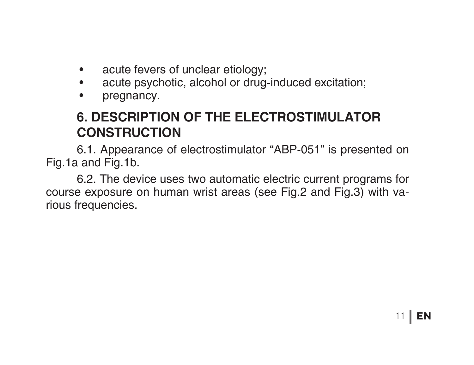- acute fevers of unclear etiology;
- acute psychotic, alcohol or drug-induced excitation;
- pregnancy.

# **6. DESCRIPTION OF THE ELECTROSTIMULATOR CONSTRUCTION**

6.1. Appearance of electrostimulator "ABP-051" is presented on Fig.1а and Fig.1b.

 6.2. The device uses two automatic electric current programs for course exposure on human wrist areas (see Fig.2 and Fig.3) with various frequencies.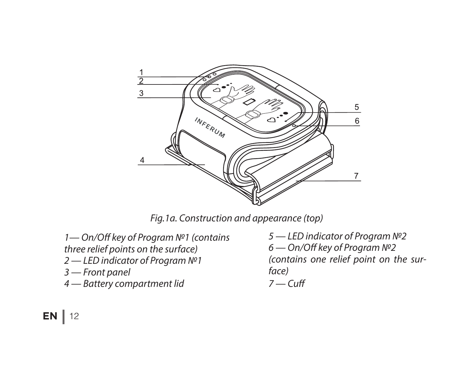

*Fig.1а. Construction and appearance (top)*

*1— On/Off key of Program №1 (contains three relief points on the surface) 2 — LED indicator of Program №1 3 — Front panel 4 — Battery compartment lid* 

*5 — LED indicator of Program №2 6 — On/Off key of Program №2 (contains one relief point on the surface)*

$$
7 - \mathsf{Cuff}
$$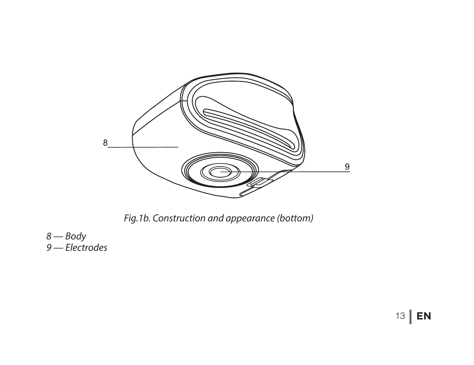

*Fig.1b. Construction and appearance (bottom)*

*8 — Body 9 — Electrodes*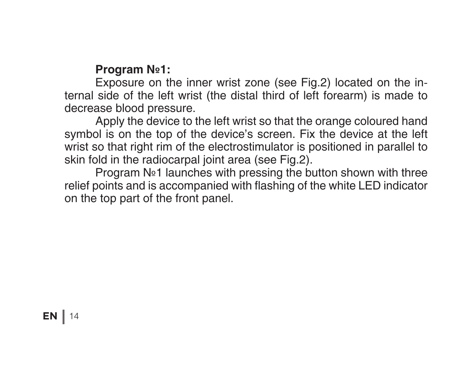#### **Program №1:**

 Exposure on the inner wrist zone (see Fig.2) located on the internal side of the left wrist (the distal third of left forearm) is made to decrease blood pressure.

 Apply the device to the left wrist so that the orange coloured hand symbol is on the top of the device's screen. Fix the device at the left wrist so that right rim of the electrostimulator is positioned in parallel to skin fold in the radiocarpal joint area (see Fig.2).

 Program №1 launches with pressing the button shown with three relief points and is accompanied with flashing of the white LED indicator on the top part of the front panel.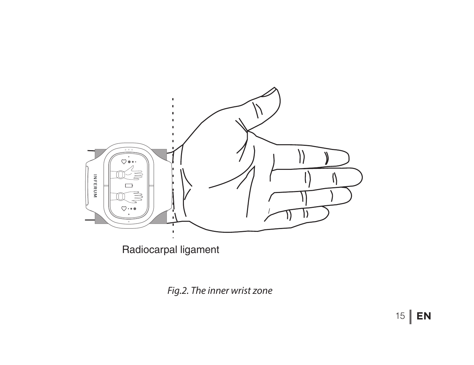

*Fig.2. The inner wrist zone*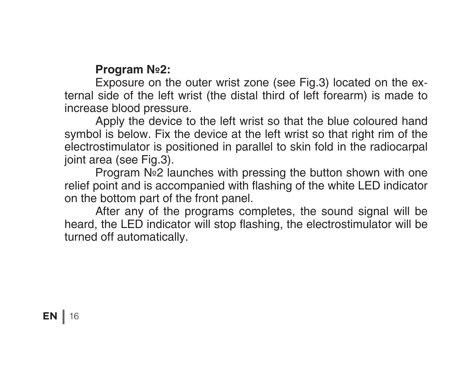#### **Program №2:**

 Exposure on the outer wrist zone (see Fig.3) located on the external side of the left wrist (the distal third of left forearm) is made to increase blood pressure.

 Apply the device to the left wrist so that the blue coloured hand symbol is below. Fix the device at the left wrist so that right rim of the electrostimulator is positioned in parallel to skin fold in the radiocarpal joint area (see Fig.3).

 Program №2 launches with pressing the button shown with one relief point and is accompanied with flashing of the white LED indicator on the bottom part of the front panel.

 After any of the programs completes, the sound signal will be heard, the LED indicator will stop flashing, the electrostimulator will be turned off automatically.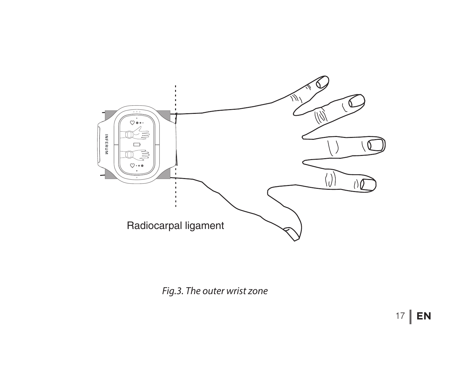

*Fig.3. The outer wrist zone*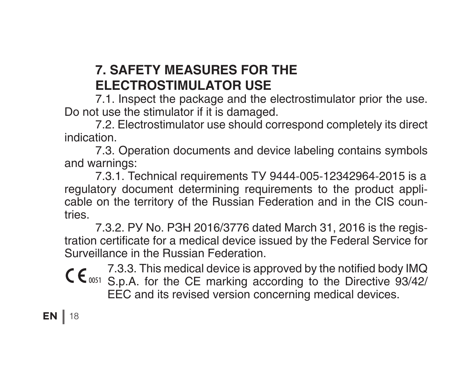# **7. SAFETY MEASURES FOR THE ELECTROSTIMULATOR USE**

7.1. Inspect the package and the electrostimulator prior the use. Do not use the stimulator if it is damaged.

 7.2. Electrostimulator use should correspond completely its direct indication.

 7.3. Operation documents and device labeling contains symbols and warnings:

 7.3.1. Technical requirements ТУ 9444-005-12342964-2015 is a regulatory document determining requirements to the product applicable on the territory of the Russian Federation and in the CIS countries.

 7.3.2. РУ No. РЗН 2016/3776 dated March 31, 2016 is the registration certificate for a medical device issued by the Federal Service for Surveillance in the Russian Federation.

7.3.3. This medical device is approved by the notified body IMQ C C<sub>0051</sub> S.p.A. for the CE marking according to the Directive 93/42/ EEC and its revised version concerning medical devices.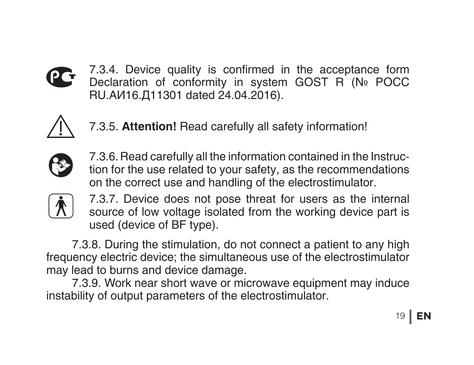

7.3.4. Device quality is confirmed in the acceptance form Declaration of conformity in system GOST R (№ POCC RU.АИ16.Д11301 dated 24.04.2016).



7.3.5. **Attention!** Read carefully all safety information!



7.3.6. Read carefully all the information contained in the Instruction for the use related to your safety, as the recommendations on the correct use and handling of the electrostimulator.



7.3.7. Device does not pose threat for users as the internal source of low voltage isolated from the working device part is used (device of BF type).

7.3.8. During the stimulation, do not connect a patient to any high frequency electric device; the simultaneous use of the electrostimulator may lead to burns and device damage.

 7.3.9. Work near short wave or microwave equipment may induce instability of output parameters of the electrostimulator.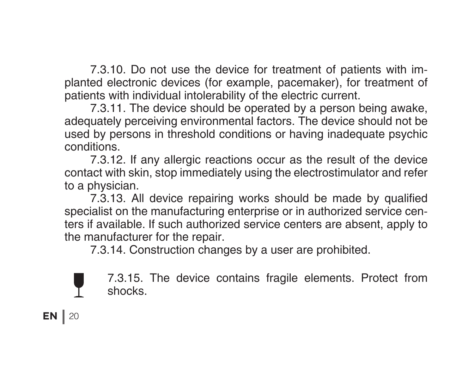7.3.10. Do not use the device for treatment of patients with implanted electronic devices (for example, pacemaker), for treatment of patients with individual intolerability of the electric current.

 7.3.11. The device should be operated by a person being awake, adequately perceiving environmental factors. The device should not be used by persons in threshold conditions or having inadequate psychic conditions.

 7.3.12. If any allergic reactions occur as the result of the device contact with skin, stop immediately using the electrostimulator and refer to a physician.

 7.3.13. All device repairing works should be made by qualified specialist on the manufacturing enterprise or in authorized service centers if available. If such authorized service centers are absent, apply to the manufacturer for the repair.

 7.3.14. Construction changes by a user are prohibited.

7.3.15. The device contains fragile elements. Protect from shocks.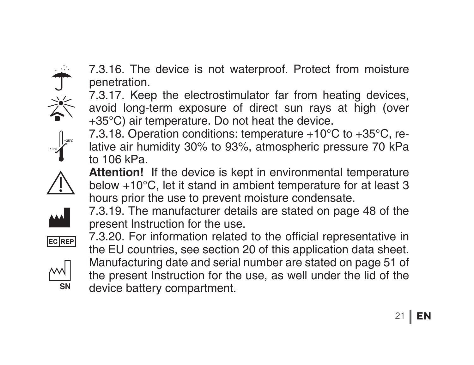

7.3.16. The device is not waterproof. Protect from moisture penetration.

7.3.17. Keep the electrostimulator far from heating devices, avoid long-term exposure of direct sun rays at high (over +35°С) air temperature. Do not heat the device.

7.3.18. Operation conditions: temperature +10°С to +35°С, relative air humidity 30% to 93%, atmospheric pressure 70 kPa to 106 kPa.

**Attention!** If the device is kept in environmental temperature below +10°C, let it stand in ambient temperature for at least 3 hours prior the use to prevent moisture condensate.

7.3.19. The manufacturer details are stated on page 48 of the present Instruction for the use.





7.3.20. For information related to the official representative in the EU countries, see section 20 of this application data sheet. Manufacturing date and serial number are stated on page 51 of the present Instruction for the use, as well under the lid of the device battery compartment. **SN**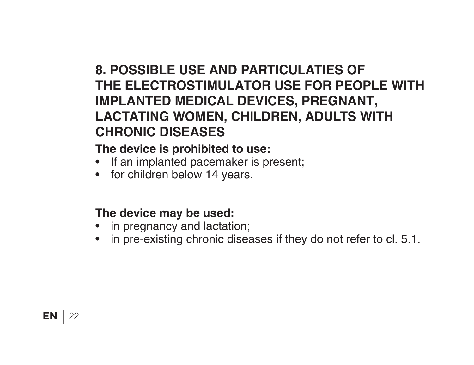# **8. POSSIBLE USE AND PARTICULATIES OF THE ELECTROSTIMULATOR USE FOR PEOPLE WITH IMPLANTED MEDICAL DEVICES, PREGNANT, LACTATING WOMEN, CHILDREN, ADULTS WITH CHRONIC DISEASES**

#### **The device is prohibited to use:**

- If an implanted pacemaker is present;
- for children below 14 years.

#### **The device may be used:**

- in pregnancy and lactation;
- in pre-existing chronic diseases if they do not refer to cl. 5.1.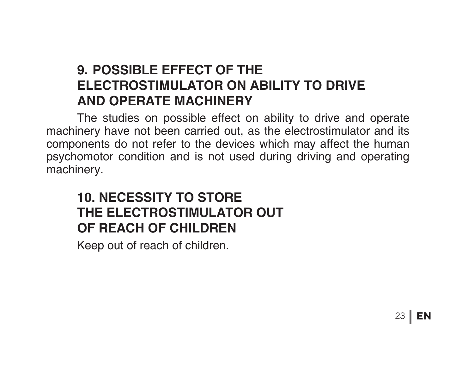### **9. POSSIBLE EFFECT OF THE ELECTROSTIMULATOR ON ABILITY TO DRIVE AND OPERATE MACHINERY**

The studies on possible effect on ability to drive and operate machinery have not been carried out, as the electrostimulator and its components do not refer to the devices which may affect the human psychomotor condition and is not used during driving and operating machinery.

# **10. NECESSITY TO STORE THE ELECTROSTIMULATOR OUT OF REACH OF CHILDREN**

 Keep out of reach of children.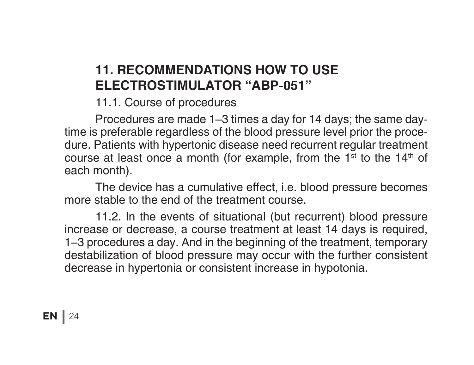# **11. RECOMMENDATIONS HOW TO USE ELECTROSTIMULATOR "АВР-051"**

11.1. Course of procedures

 Procedures are made 1–3 times a day for 14 days; the same daytime is preferable regardless of the blood pressure level prior the procedure. Patients with hypertonic disease need recurrent regular treatment course at least once a month (for example, from the  $1<sup>st</sup>$  to the  $14<sup>th</sup>$  of each month).

 The device has a cumulative effect, i.e. blood pressure becomes more stable to the end of the treatment course.

 11.2. In the events of situational (but recurrent) blood pressure increase or decrease, a course treatment at least 14 days is required, 1–3 procedures a day. And in the beginning of the treatment, temporary destabilization of blood pressure may occur with the further consistent decrease in hypertonia or consistent increase in hypotonia.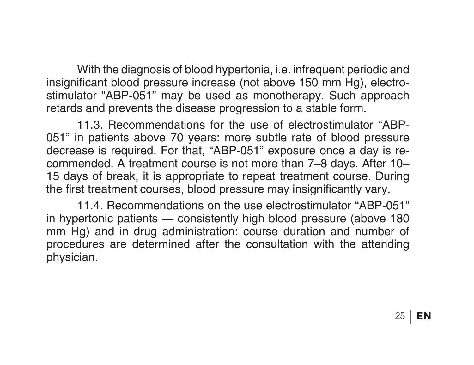With the diagnosis of blood hypertonia, i.e. infrequent periodic and insignificant blood pressure increase (not above 150 mm Hg), electrostimulator "ABP-051" may be used as monotherapy. Such approach retards and prevents the disease progression to a stable form.

 11.3. Recommendations for the use of electrostimulator "ABP-051" in patients above 70 years: more subtle rate of blood pressure decrease is required. For that, "ABP-051" exposure once a day is recommended. A treatment course is not more than 7–8 days. After 10– 15 days of break, it is appropriate to repeat treatment course. During the first treatment courses, blood pressure may insignificantly vary.

 11.4. Recommendations on the use electrostimulator "ABP-051" in hypertonic patients — consistently high blood pressure (above 180 mm Hg) and in drug administration: course duration and number of procedures are determined after the consultation with the attending physician.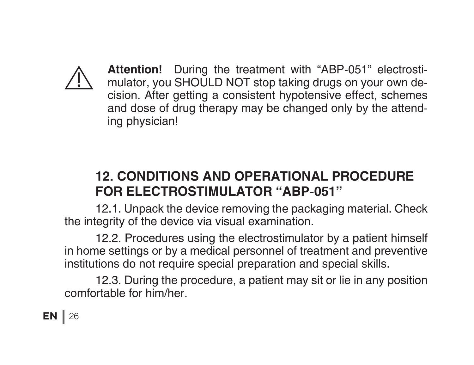

**Attention!** During the treatment with "ABP-051" electrostimulator, you SHOULD NOT stop taking drugs on your own decision. After getting a consistent hypotensive effect, schemes and dose of drug therapy may be changed only by the attending physician!

# **12. CONDITIONS AND OPERATIONAL PROCEDURE FOR ELECTROSTIMULATOR "АВР-051"**

12.1. Unpack the device removing the packaging material. Check the integrity of the device via visual examination.

 12.2. Procedures using the electrostimulator by a patient himself in home settings or by a medical personnel of treatment and preventive institutions do not require special preparation and special skills.

 12.3. During the procedure, a patient may sit or lie in any position comfortable for him/her.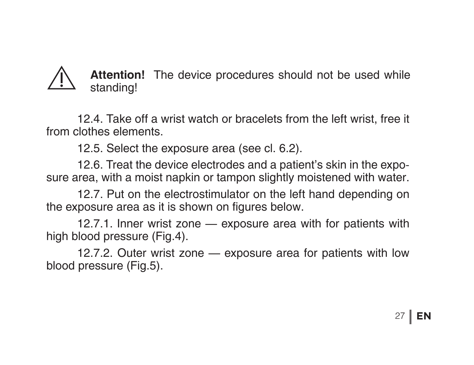### **Attention!** The device procedures should not be used while standing!

12.4. Take off a wrist watch or bracelets from the left wrist, free it from clothes elements.

 12.5. Select the exposure area (see cl. 6.2).

 12.6. Treat the device electrodes and a patient's skin in the exposure area, with a moist napkin or tampon slightly moistened with water.

 12.7. Put on the electrostimulator on the left hand depending on the exposure area as it is shown on figures below.

 12.7.1. Inner wrist zone — exposure area with for patients with high blood pressure (Fig.4).

 12.7.2. Outer wrist zone — exposure area for patients with low blood pressure (Fig.5).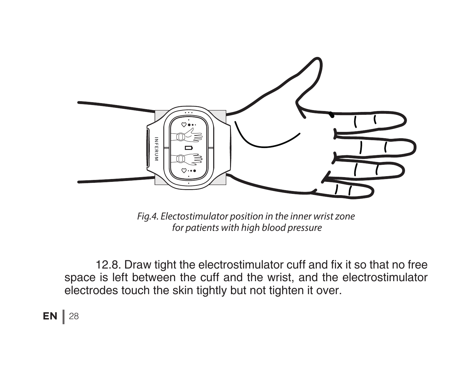

*Fig.4. Electostimulator position in the inner wrist zone for patients with high blood pressure* 

12.8. Draw tight the electrostimulator cuff and fix it so that no free space is left between the cuff and the wrist, and the electrostimulator electrodes touch the skin tightly but not tighten it over.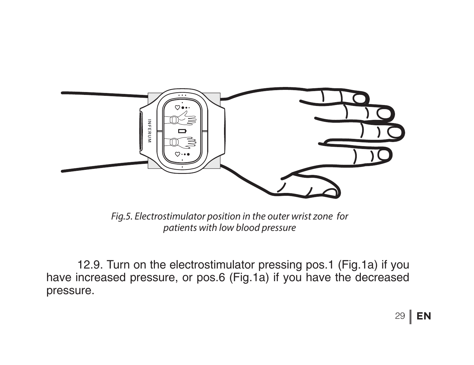

*Fig.5. Electrostimulator position in the outer wrist zone for patients with low blood pressure*

 12.9. Turn on the electrostimulator pressing pos.1 (Fig.1a) if you have increased pressure, or pos.6 (Fig.1a) if you have the decreased pressure.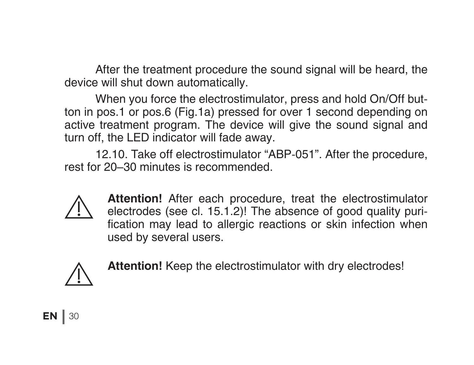After the treatment procedure the sound signal will be heard, the device will shut down automatically.

 When you force the electrostimulator, press and hold On/Off button in pos.1 or pos.6 (Fig.1a) pressed for over 1 second depending on active treatment program. The device will give the sound signal and turn off, the LED indicator will fade away.

 12.10. Take off electrostimulator "ABP-051". After the procedure, rest for 20–30 minutes is recommended.



**Attention!** After each procedure, treat the electrostimulator electrodes (see cl. 15.1.2)! The absence of good quality purification may lead to allergic reactions or skin infection when used by several users.



**Attention!** Keep the electrostimulator with dry electrodes!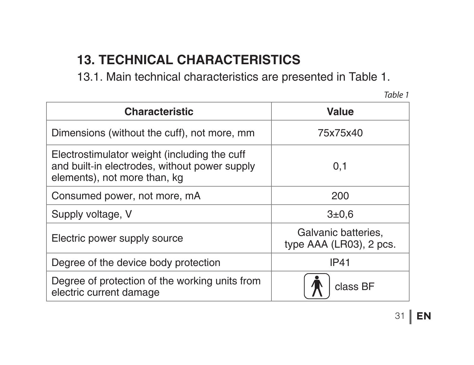# **13. TECHNICAL CHARACTERISTICS**

 13.1. Main technical characteristics are presented in Table 1.

*Table 1*

| <b>Characteristic</b>                                                                                                         | Value                                          |
|-------------------------------------------------------------------------------------------------------------------------------|------------------------------------------------|
| Dimensions (without the cuff), not more, mm                                                                                   | 75x75x40                                       |
| Electrostimulator weight (including the cuff<br>and built-in electrodes, without power supply<br>elements), not more than, kg | 0,1                                            |
| Consumed power, not more, mA                                                                                                  | 200                                            |
| Supply voltage, V                                                                                                             | 3 ± 0.6                                        |
| Electric power supply source                                                                                                  | Galvanic batteries.<br>type AAA (LR03), 2 pcs. |
| Degree of the device body protection                                                                                          | <b>IP41</b>                                    |
| Degree of protection of the working units from<br>electric current damage                                                     | class BF                                       |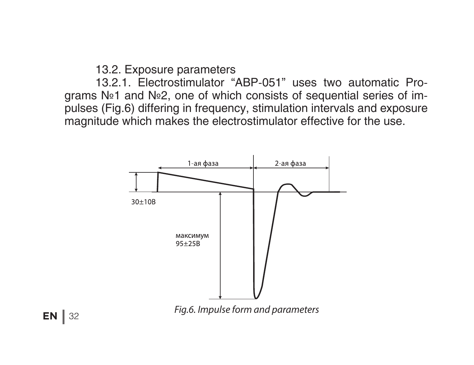13.2. Exposure parameters

 13.2.1. Electrostimulator "АВР-051" uses two automatic Programs №1 and №2, one of which consists of sequential series of impulses (Fig.6) differing in frequency, stimulation intervals and exposure magnitude which makes the electrostimulator effective for the use.

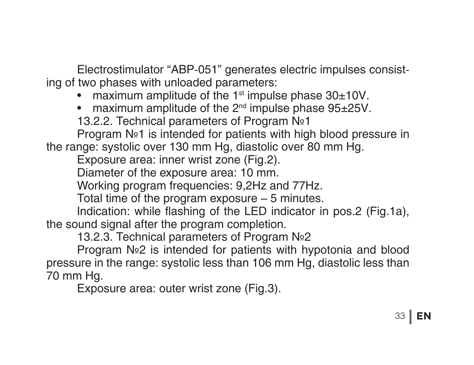Electrostimulator "ABP-051" generates electric impulses consisting of two phases with unloaded parameters:

- maximum amplitude of the  $1<sup>st</sup>$  impulse phase  $30<sub>±</sub>10V$ .
- maximum amplitude of the  $2^{nd}$  impulse phase  $95\pm25V$ .

 13.2.2. Technical parameters of Program №1

 Program №1 is intended for patients with high blood pressure in the range: systolic over 130 mm Hg, diastolic over 80 mm Hg.

 Exposure area: inner wrist zone (Fig.2).

 Diameter of the exposure area: 10 mm.

 Working program frequencies: 9,2Hz and 77Hz.

 Total time of the program exposure – 5 minutes.

 Indication: while flashing of the LED indicator in pos.2 (Fig.1а), the sound signal after the program completion.

 13.2.3. Technical parameters of Program №2

 Program №2 is intended for patients with hypotonia and blood pressure in the range: systolic less than 106 mm Hg, diastolic less than 70 mm Hg.

 Exposure area: outer wrist zone (Fig.3).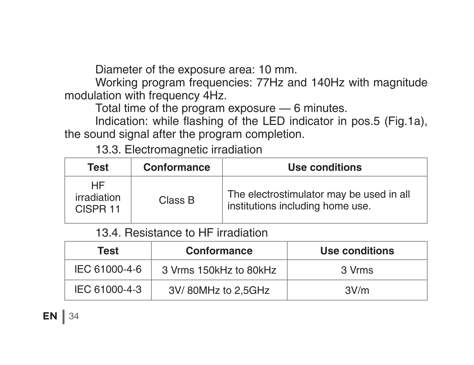Diameter of the exposure area: 10 mm.

 Working program frequencies: 77Hz and 140Hz with magnitude modulation with frequency 4Hz.

 Total time of the program exposure — 6 minutes.

Indication: while flashing of the LED indicator in pos.5 (Fig.1a), the sound signal after the program completion.

 13.3. Electromagnetic irradiation

| Test                          | Conformance | Use conditions                                                               |
|-------------------------------|-------------|------------------------------------------------------------------------------|
| HF<br>irradiation<br>CISPR 11 | Class B     | The electrostimulator may be used in all<br>institutions including home use. |

 13.4. Resistance to HF irradiation

| Test          | Conformance            | Use conditions |
|---------------|------------------------|----------------|
| IEC 61000-4-6 | 3 Vrms 150kHz to 80kHz | 3 Vrms         |
| IEC 61000-4-3 | 3V/80MHz to 2.5GHz     | 3V/m           |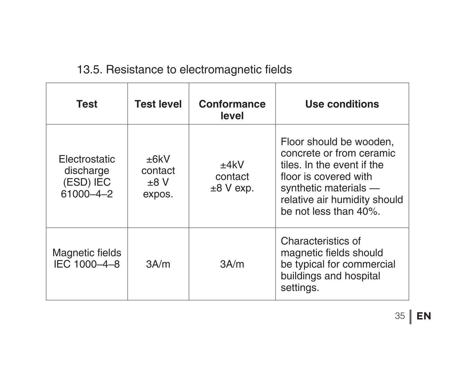#### 13.5. Resistance to electromagnetic fields

| Test                                                        | <b>Test level</b>                 | Conformance<br>level           | Use conditions                                                                                                                                                                               |
|-------------------------------------------------------------|-----------------------------------|--------------------------------|----------------------------------------------------------------------------------------------------------------------------------------------------------------------------------------------|
| <b>Flectrostatic</b><br>discharge<br>(ESD) IEC<br>61000-4-2 | +6kV<br>contact<br>+8 V<br>expos. | +4kV<br>contact<br>$±8$ V exp. | Floor should be wooden,<br>concrete or from ceramic<br>tiles. In the event if the<br>floor is covered with<br>synthetic materials -<br>relative air humidity should<br>be not less than 40%. |
| Magnetic fields<br>IFC 1000-4-8                             | 3A/m                              | 3A/m                           | Characteristics of<br>magnetic fields should<br>be typical for commercial<br>buildings and hospital<br>settings.                                                                             |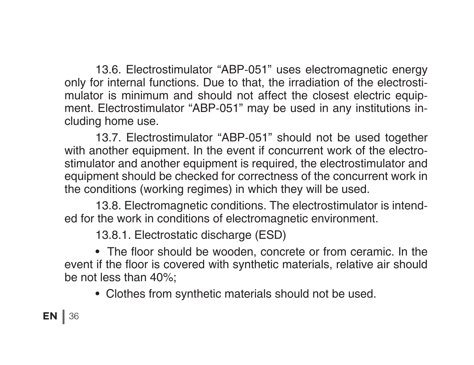13.6. Electrostimulator "ABP-051" uses electromagnetic energy only for internal functions. Due to that, the irradiation of the electrostimulator is minimum and should not affect the closest electric equipment. Electrostimulator "ABP-051" may be used in any institutions including home use.

 13.7. Electrostimulator "ABP-051" should not be used together with another equipment. In the event if concurrent work of the electrostimulator and another equipment is required, the electrostimulator and equipment should be checked for correctness of the concurrent work in the conditions (working regimes) in which they will be used.

 13.8. Electromagnetic conditions. The electrostimulator is intended for the work in conditions of electromagnetic environment.

 13.8.1. Electrostatic discharge (ESD)

 • The floor should be wooden, concrete or from ceramic. In the event if the floor is covered with synthetic materials, relative air should be not less than 40%;

 • Clothes from synthetic materials should not be used.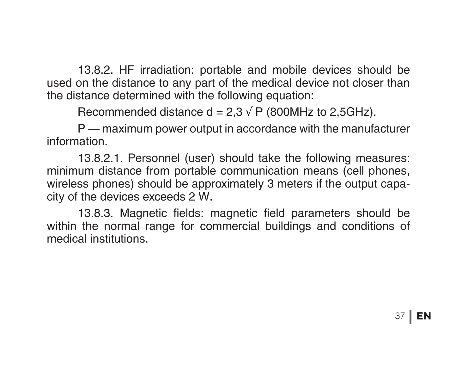13.8.2. HF irradiation: portable and mobile devices should be used on the distance to any part of the medical device not closer than the distance determined with the following equation:

Recommended distance  $d = 2.3 \sqrt{P}$  (800MHz to 2,5GHz).

 P — maximum power output in accordance with the manufacturer information.

 13.8.2.1. Personnel (user) should take the following measures: minimum distance from portable communication means (cell phones, wireless phones) should be approximately 3 meters if the output capacity of the devices exceeds 2 W.

 13.8.3. Magnetic fields: magnetic field parameters should be within the normal range for commercial buildings and conditions of medical institutions.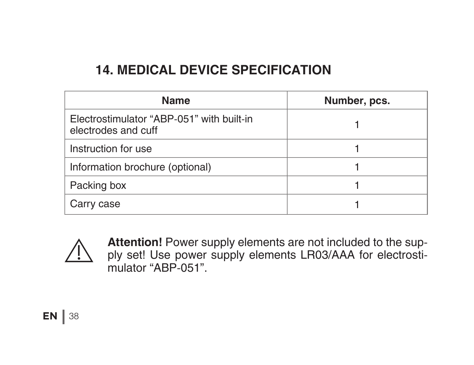# **14. MEDICAL DEVICE SPECIFICATION**

| Name                                                             | Number, pcs. |
|------------------------------------------------------------------|--------------|
| Electrostimulator "ABP-051" with built-in<br>electrodes and cuff |              |
| Instruction for use                                              |              |
| Information brochure (optional)                                  |              |
| Packing box                                                      |              |
| Carry case                                                       |              |



**Attention!** Power supply elements are not included to the supply set! Use power supply elements LR03/ААА for electrostimulator "ABP-051".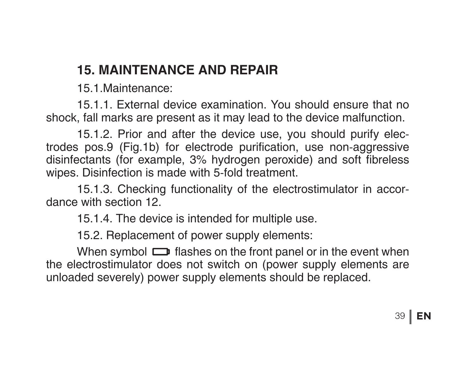# **15. MAINTENANCE AND REPAIR**

15.1.Maintenance:

 15.1.1. External device examination. You should ensure that no shock, fall marks are present as it may lead to the device malfunction.

 15.1.2. Prior and after the device use, you should purify electrodes pos.9 (Fig.1b) for electrode purification, use non-aggressive disinfectants (for example, 3% hydrogen peroxide) and soft fibreless wipes. Disinfection is made with 5-fold treatment.

 15.1.3. Checking functionality of the electrostimulator in accordance with section 12.

 15.1.4. The device is intended for multiple use.

 15.2. Replacement of power supply elements:

When symbol  $\Box$  flashes on the front panel or in the event when the electrostimulator does not switch on (power supply elements are unloaded severely) power supply elements should be replaced.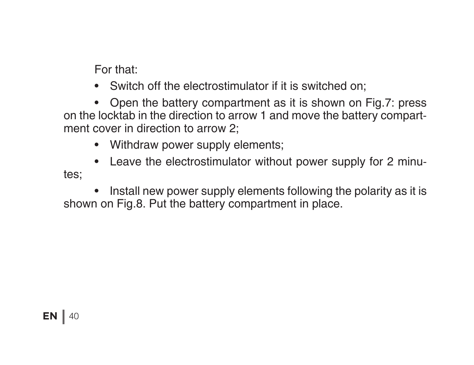For that:

• Switch off the electrostimulator if it is switched on:

• Open the battery compartment as it is shown on Fig.7: press on the locktab in the direction to arrow 1 and move the battery compartment cover in direction to arrow 2;

• Withdraw power supply elements:

• Leave the electrostimulator without power supply for 2 minutes;

• Install new power supply elements following the polarity as it is shown on Fig.8. Put the battery compartment in place.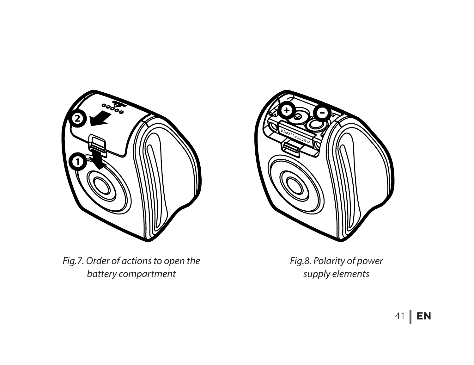

*Fig.7. Order of actions to open the battery compartment*



*Fig.8. Polarity of power supply elements*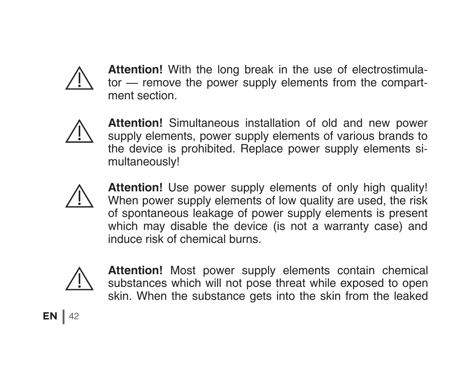

**Attention!** With the long break in the use of electrostimulator — remove the power supply elements from the compartment section.



**Attention!** Simultaneous installation of old and new power supply elements, power supply elements of various brands to the device is prohibited. Replace power supply elements simultaneously!



**Attention!** Use power supply elements of only high quality! When power supply elements of low quality are used, the risk of spontaneous leakage of power supply elements is present which may disable the device (is not a warranty case) and induce risk of chemical burns.



**Attention!** Most power supply elements contain chemical substances which will not pose threat while exposed to open skin. When the substance gets into the skin from the leaked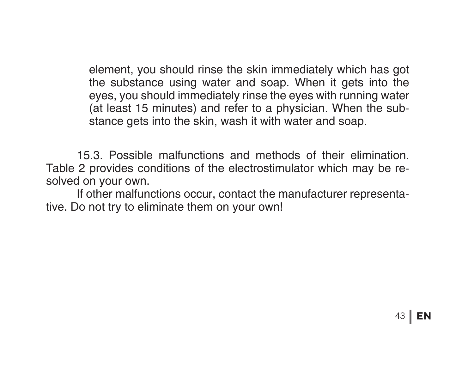element, you should rinse the skin immediately which has got the substance using water and soap. When it gets into the eyes, you should immediately rinse the eyes with running water (at least 15 minutes) and refer to a physician. When the substance gets into the skin, wash it with water and soap.

 15.3. Possible malfunctions and methods of their elimination. Table 2 provides conditions of the electrostimulator which may be resolved on your own.

 If other malfunctions occur, contact the manufacturer representative. Do not try to eliminate them on your own!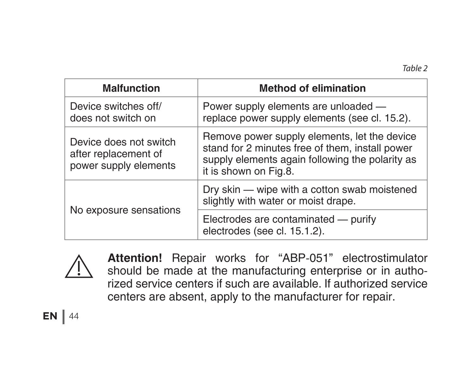| <b>Malfunction</b>                                                      | <b>Method of elimination</b>                                                                                                                                                |
|-------------------------------------------------------------------------|-----------------------------------------------------------------------------------------------------------------------------------------------------------------------------|
| Device switches off/<br>does not switch on                              | Power supply elements are unloaded -<br>replace power supply elements (see cl. 15.2).                                                                                       |
| Device does not switch<br>after replacement of<br>power supply elements | Remove power supply elements, let the device<br>stand for 2 minutes free of them, install power<br>supply elements again following the polarity as<br>it is shown on Fig.8. |
| No exposure sensations                                                  | Dry skin — wipe with a cotton swab moistened<br>slightly with water or moist drape.                                                                                         |
|                                                                         | Electrodes are contaminated - purify<br>electrodes (see cl. 15.1.2).                                                                                                        |



**Attention!** Repair works for "АВР-051" electrostimulator should be made at the manufacturing enterprise or in authorized service centers if such are available. If authorized service centers are absent, apply to the manufacturer for repair.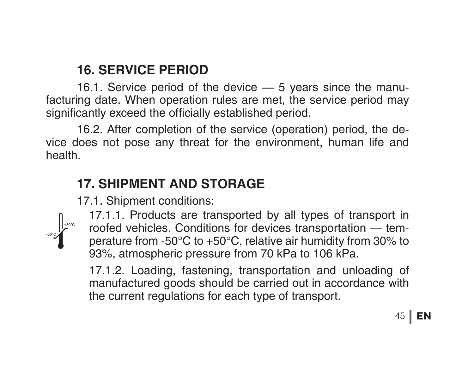### **16. SERVICE PERIOD**

 16.1. Service period of the device — 5 years since the manufacturing date. When operation rules are met, the service period may significantly exceed the officially established period.

 16.2. After completion of the service (operation) period, the device does not pose any threat for the environment, human life and health.

## **17. SHIPMENT AND STORAGE**

 17.1. Shipment conditions: 



17.1.1. Products are transported by all types of transport in roofed vehicles. Conditions for devices transportation — temperature from -50°C to +50°C, relative air humidity from 30% to 93%, atmospheric pressure from 70 kPa to 106 kPa.

17.1.2. Loading, fastening, transportation and unloading of manufactured goods should be carried out in accordance with the current regulations for each type of transport.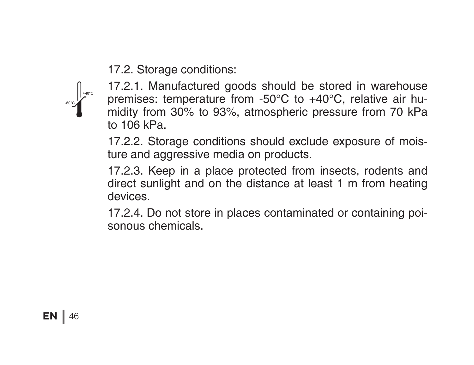17.2. Storage conditions:



17.2.1. Manufactured goods should be stored in warehouse premises: temperature from -50°С to +40°С, relative air humidity from 30% to 93%, atmospheric pressure from 70 kPa to  $106$  kPa.

17.2.2. Storage conditions should exclude exposure of moisture and aggressive media on products.

17.2.3. Keep in a place protected from insects, rodents and direct sunlight and on the distance at least 1 m from heating devices.

17.2.4. Do not store in places contaminated or containing poisonous chemicals.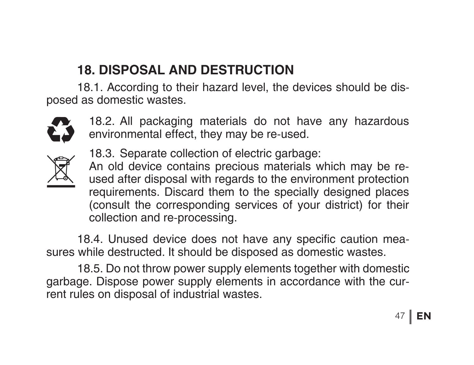# **18. DISPOSAL AND DESTRUCTION**

18.1. According to their hazard level, the devices should be disposed as domestic wastes.



18.2. All packaging materials do not have any hazardous environmental effect, they may be re-used.



18.3. Separate collection of electric garbage: An old device contains precious materials which may be reused after disposal with regards to the environment protection requirements. Discard them to the specially designed places (consult the corresponding services of your district) for their collection and re-processing.

18.4. Unused device does not have any specific caution measures while destructed. It should be disposed as domestic wastes.

 18.5. Do not throw power supply elements together with domestic garbage. Dispose power supply elements in accordance with the current rules on disposal of industrial wastes.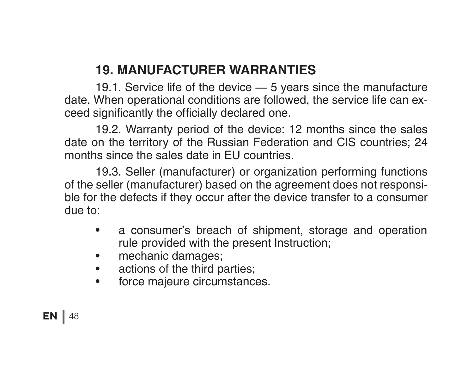# **19. MANUFACTURER WARRANTIES**

 19.1. Service life of the device — 5 years since the manufacture date. When operational conditions are followed, the service life can exceed significantly the officially declared one.

 19.2. Warranty period of the device: 12 months since the sales date on the territory of the Russian Federation and CIS countries; 24 months since the sales date in EU countries.

 19.3. Seller (manufacturer) or organization performing functions of the seller (manufacturer) based on the agreement does not responsible for the defects if they occur after the device transfer to a consumer due to:

- a consumer's breach of shipment, storage and operation rule provided with the present Instruction;
- mechanic damages;
- actions of the third parties;
- force majeure circumstances.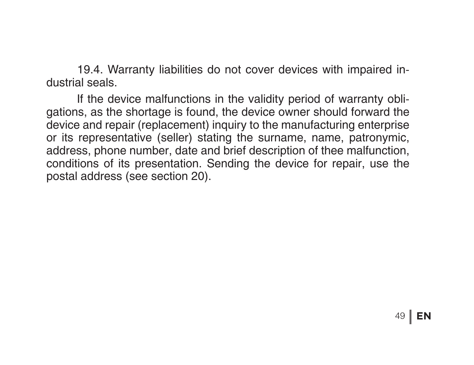19.4. Warranty liabilities do not cover devices with impaired industrial seals.

 If the device malfunctions in the validity period of warranty obligations, as the shortage is found, the device owner should forward the device and repair (replacement) inquiry to the manufacturing enterprise or its representative (seller) stating the surname, name, patronymic, address, phone number, date and brief description of thee malfunction, conditions of its presentation. Sending the device for repair, use the postal address (see section 20).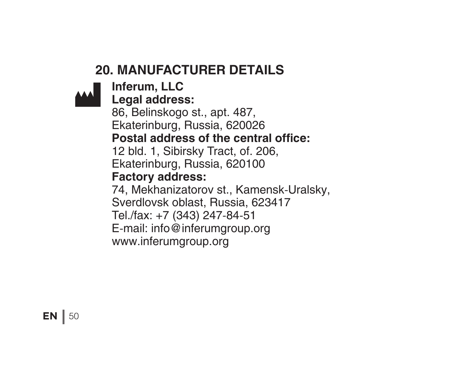# **20. MANUFACTURER DETAILS**

# **Inferum, LLC**

**Legal address:** 

86, Belinskogo st., apt. 487, Ekaterinburg, Russia, 620026 **Postal address of the central office:**  12 bld. 1, Sibirsky Tract, of. 206, Ekaterinburg, Russia, 620100 **Factory address:** 74, Mekhanizatorov st., Kamensk-Uralsky, Sverdlovsk oblast, Russia, 623417 Tel./fax: +7 (343) 247-84-51 E-mail: info@inferumgroup.org www.inferumgroup.org